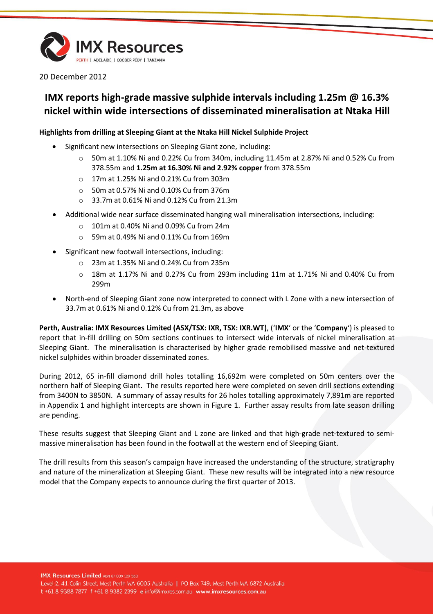

20 December 2012

# **IMX reports high-grade massive sulphide intervals including 1.25m @ 16.3% nickel within wide intersections of disseminated mineralisation at Ntaka Hill**

## **Highlights from drilling at Sleeping Giant at the Ntaka Hill Nickel Sulphide Project**

- Significant new intersections on Sleeping Giant zone, including:
	- o 50m at 1.10% Ni and 0.22% Cu from 340m, including 11.45m at 2.87% Ni and 0.52% Cu from 378.55m and **1.25m at 16.30% Ni and 2.92% copper** from 378.55m
	- o 17m at 1.25% Ni and 0.21% Cu from 303m
	- o 50m at 0.57% Ni and 0.10% Cu from 376m
	- o 33.7m at 0.61% Ni and 0.12% Cu from 21.3m
- Additional wide near surface disseminated hanging wall mineralisation intersections, including:
	- o 101m at 0.40% Ni and 0.09% Cu from 24m
	- o 59m at 0.49% Ni and 0.11% Cu from 169m
- Significant new footwall intersections, including:
	- o 23m at 1.35% Ni and 0.24% Cu from 235m
	- o 18m at 1.17% Ni and 0.27% Cu from 293m including 11m at 1.71% Ni and 0.40% Cu from 299m
- North-end of Sleeping Giant zone now interpreted to connect with L Zone with a new intersection of 33.7m at 0.61% Ni and 0.12% Cu from 21.3m, as above

**Perth, Australia: IMX Resources Limited (ASX/TSX: IXR, TSX: IXR.WT)**, ('**IMX**' or the '**Company**') is pleased to report that in-fill drilling on 50m sections continues to intersect wide intervals of nickel mineralisation at Sleeping Giant. The mineralisation is characterised by higher grade remobilised massive and net-textured nickel sulphides within broader disseminated zones.

During 2012, 65 in-fill diamond drill holes totalling 16,692m were completed on 50m centers over the northern half of Sleeping Giant. The results reported here were completed on seven drill sections extending from 3400N to 3850N. A summary of assay results for 26 holes totalling approximately 7,891m are reported in Appendix 1 and highlight intercepts are shown in Figure 1. Further assay results from late season drilling are pending.

These results suggest that Sleeping Giant and L zone are linked and that high-grade net-textured to semimassive mineralisation has been found in the footwall at the western end of Sleeping Giant.

The drill results from this season's campaign have increased the understanding of the structure, stratigraphy and nature of the mineralization at Sleeping Giant. These new results will be integrated into a new resource model that the Company expects to announce during the first quarter of 2013.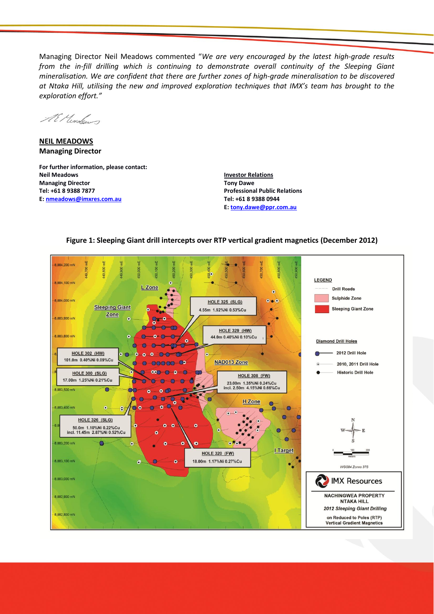Managing Director Neil Meadows commented "*We are very encouraged by the latest high-grade results from the in-fill drilling which is continuing to demonstrate overall continuity of the Sleeping Giant mineralisation. We are confident that there are further zones of high-grade mineralisation to be discovered at Ntaka Hill, utilising the new and improved exploration techniques that IMX's team has brought to the exploration effort."*

AE Mondon

**NEIL MEADOWS Managing Director**

**For further information, please contact: Neil Meadows Managing Director Tel: +61 8 9388 7877 E: [nmeadows@imxres.com.au](mailto:nmeadows@imxres.com.au)**

**Investor Relations Tony Dawe Professional Public Relations Tel: +61 8 9388 0944 E[: tony.dawe@ppr.com.au](mailto:lesleyjohns@optusnet.com.au)**

## **Figure 1: Sleeping Giant drill intercepts over RTP vertical gradient magnetics (December 2012)**

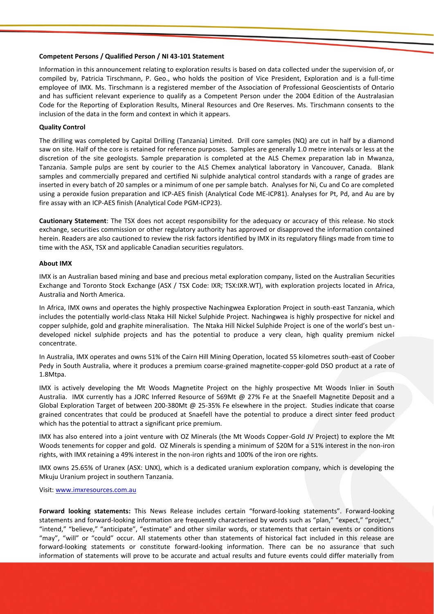### **Competent Persons / Qualified Person / NI 43-101 Statement**

Information in this announcement relating to exploration results is based on data collected under the supervision of, or compiled by, Patricia Tirschmann, P. Geo., who holds the position of Vice President, Exploration and is a full-time employee of IMX. Ms. Tirschmann is a registered member of the Association of Professional Geoscientists of Ontario and has sufficient relevant experience to qualify as a Competent Person under the 2004 Edition of the Australasian Code for the Reporting of Exploration Results, Mineral Resources and Ore Reserves. Ms. Tirschmann consents to the inclusion of the data in the form and context in which it appears.

### **Quality Control**

The drilling was completed by Capital Drilling (Tanzania) Limited. Drill core samples (NQ) are cut in half by a diamond saw on site. Half of the core is retained for reference purposes. Samples are generally 1.0 metre intervals or less at the discretion of the site geologists. Sample preparation is completed at the ALS Chemex preparation lab in Mwanza, Tanzania. Sample pulps are sent by courier to the ALS Chemex analytical laboratory in Vancouver, Canada. Blank samples and commercially prepared and certified Ni sulphide analytical control standards with a range of grades are inserted in every batch of 20 samples or a minimum of one per sample batch. Analyses for Ni, Cu and Co are completed using a peroxide fusion preparation and ICP-AES finish (Analytical Code ME-ICP81). Analyses for Pt, Pd, and Au are by fire assay with an ICP-AES finish (Analytical Code PGM-ICP23).

**Cautionary Statement**: The TSX does not accept responsibility for the adequacy or accuracy of this release. No stock exchange, securities commission or other regulatory authority has approved or disapproved the information contained herein. Readers are also cautioned to review the risk factors identified by IMX in its regulatory filings made from time to time with the ASX, TSX and applicable Canadian securities regulators.

#### **About IMX**

IMX is an Australian based mining and base and precious metal exploration company, listed on the Australian Securities Exchange and Toronto Stock Exchange (ASX / TSX Code: IXR; TSX:IXR.WT), with exploration projects located in Africa, Australia and North America.

In Africa, IMX owns and operates the highly prospective Nachingwea Exploration Project in south-east Tanzania, which includes the potentially world-class Ntaka Hill Nickel Sulphide Project. Nachingwea is highly prospective for nickel and copper sulphide, gold and graphite mineralisation. The Ntaka Hill Nickel Sulphide Project is one of the world's best undeveloped nickel sulphide projects and has the potential to produce a very clean, high quality premium nickel concentrate.

In Australia, IMX operates and owns 51% of the Cairn Hill Mining Operation, located 55 kilometres south-east of Coober Pedy in South Australia, where it produces a premium coarse-grained magnetite-copper-gold DSO product at a rate of 1.8Mtpa.

IMX is actively developing the Mt Woods Magnetite Project on the highly prospective Mt Woods Inlier in South Australia. IMX currently has a JORC Inferred Resource of 569Mt @ 27% Fe at the Snaefell Magnetite Deposit and a Global Exploration Target of between 200-380Mt @ 25-35% Fe elsewhere in the project. Studies indicate that coarse grained concentrates that could be produced at Snaefell have the potential to produce a direct sinter feed product which has the potential to attract a significant price premium.

IMX has also entered into a joint venture with OZ Minerals (the Mt Woods Copper-Gold JV Project) to explore the Mt Woods tenements for copper and gold. OZ Minerals is spending a minimum of \$20M for a 51% interest in the non-iron rights, with IMX retaining a 49% interest in the non-iron rights and 100% of the iron ore rights.

IMX owns 25.65% of Uranex (ASX: UNX), which is a dedicated uranium exploration company, which is developing the Mkuju Uranium project in southern Tanzania.

Visit: [www.imxresources.com.au](http://www.imxresources.com.au/)

**Forward looking statements:** This News Release includes certain "forward‐looking statements". Forward-looking statements and forward-looking information are frequently characterised by words such as "plan," "expect," "project," "intend," "believe," "anticipate", "estimate" and other similar words, or statements that certain events or conditions "may", "will" or "could" occur. All statements other than statements of historical fact included in this release are forward‐looking statements or constitute forward-looking information. There can be no assurance that such information of statements will prove to be accurate and actual results and future events could differ materially from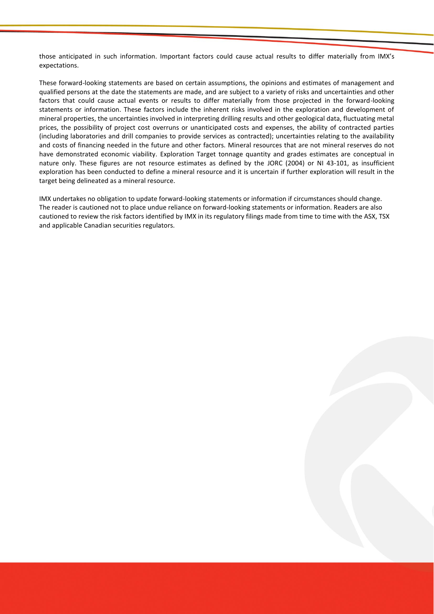those anticipated in such information. Important factors could cause actual results to differ materially from IMX's expectations.

These forward-looking statements are based on certain assumptions, the opinions and estimates of management and qualified persons at the date the statements are made, and are subject to a variety of risks and uncertainties and other factors that could cause actual events or results to differ materially from those projected in the forward-looking statements or information. These factors include the inherent risks involved in the exploration and development of mineral properties, the uncertainties involved in interpreting drilling results and other geological data, fluctuating metal prices, the possibility of project cost overruns or unanticipated costs and expenses, the ability of contracted parties (including laboratories and drill companies to provide services as contracted); uncertainties relating to the availability and costs of financing needed in the future and other factors. Mineral resources that are not mineral reserves do not have demonstrated economic viability. Exploration Target tonnage quantity and grades estimates are conceptual in nature only. These figures are not resource estimates as defined by the JORC (2004) or NI 43-101, as insufficient exploration has been conducted to define a mineral resource and it is uncertain if further exploration will result in the target being delineated as a mineral resource.

IMX undertakes no obligation to update forward-looking statements or information if circumstances should change. The reader is cautioned not to place undue reliance on forward-looking statements or information. Readers are also cautioned to review the risk factors identified by IMX in its regulatory filings made from time to time with the ASX, TSX and applicable Canadian securities regulators.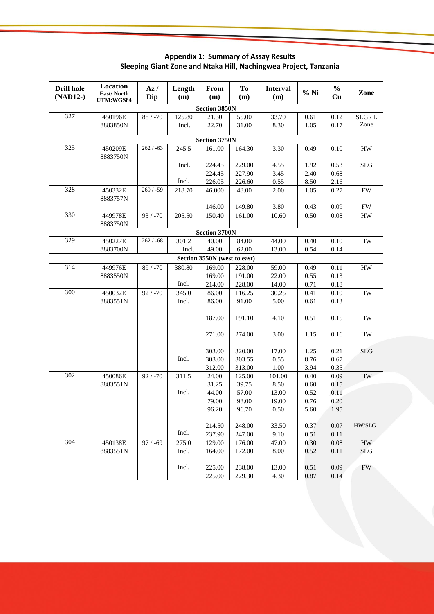**Drill hole (NAD12-) Location East/ North UTM:WGS84 Az / Dip Length (m) From (m) To (m) Interval (m) % Ni % Cu Zone Section 3850N** 327 450196E 8883850N 88 / -70 125.80 Incl. 21.30 22.70 55.00 31.00 33.70 8.30 0.61 1.05  $\overline{0.12}$ 0.17  $SLG/L$ Zone **Section 3750N** 325 450209E 8883750N  $262 / -63$  245.5 Incl. Incl. 161.00 224.45 224.45 226.05 164.30 229.00 227.90 226.60 3.30 4.55 3.45 0.55 0.49 1.92 2.40 8.50 0.10 0.53 0.68 2.16 HW SLG 328 450332E 8883757N 269 / -59 218.70 46.000 146.00 48.00 149.80 2.00 3.80 1.05 0.43 0.27 0.09 FW FW 330 449978E 8883750N 93 / -70 | 205.50 | 150.40 | 161.00 | 10.60 | 0.50 | 0.08 | HW **Section 3700N** 329 450227E 8883700N  $262 / -68$  301.2 Incl. 40.00 49.00 84.00 62.00 44.00 13.00 0.40 0.54 0.10 0.14 HW **Section 3550N (west to east)** 314 449976E 8883550N 89 / -70 380.80 Incl. 169.00 169.00 214.00 228.00 191.00 228.00 59.00 22.00 14.00  $0.49$ 0.55 0.71 0.11 0.13 0.18 HW 300 450032E 8883551N  $92 / -70$  345.0 Incl. Incl. 86.00 86.00 187.00 271.00 303.00 303.00 312.00 116.25 91.00 191.10 274.00 320.00 303.55 313.00 30.25 5.00 4.10 3.00 17.00 0.55 1.00 0.41 0.61 0.51 1.15 1.25 8.76 3.94 0.10 0.13 0.15 0.16 0.21 0.67 0.35 HW HW HW SLG 302 450086E 8883551N  $92 / -70$  311.5 Incl. Incl. 24.00 31.25 44.00 79.00 96.20 214.50 237.90 125.00 39.75 57.00 98.00 96.70 248.00 247.00 101.00 8.50 13.00 19.00 0.50 33.50 9.10 0.40 0.60 0.52 0.76 5.60 0.37 0.51 0.09 0.15 0.11 0.20 1.95 0.07 0.11 HW HW/SLG 304 450138E 8883551N 97 / -69 275.0 Incl. Incl. 129.00 164.00 225.00 225.00 176.00 172.00 238.00 229.30 47.00 8.00 13.00 4.30 0.30 0.52 0.51 0.87 0.08 0.11 0.09 0.14 HW SLG FW

**Appendix 1: Summary of Assay Results Sleeping Giant Zone and Ntaka Hill, Nachingwea Project, Tanzania**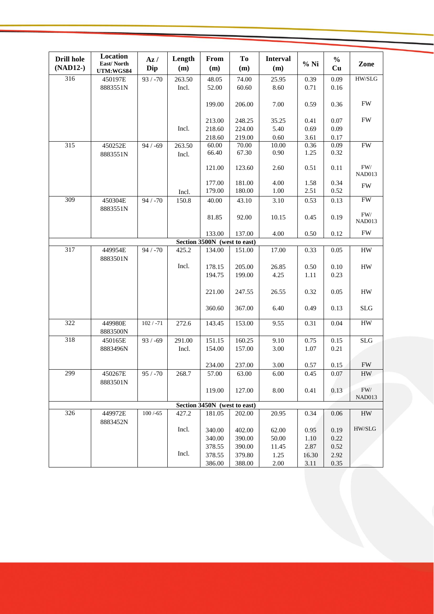| <b>Drill hole</b>            | Location<br>East/North | Az/         | Length | From                         | To     | <b>Interval</b> | $%$ Ni   | $\frac{0}{0}$ | Zone                         |
|------------------------------|------------------------|-------------|--------|------------------------------|--------|-----------------|----------|---------------|------------------------------|
| (NAD12-)                     | UTM:WGS84              | Dip         | (m)    | (m)                          | (m)    | (m)             |          | Cu            |                              |
| 316                          | 450197E                | $93 / -70$  | 263.50 | 48.05                        | 74.00  | 25.95           | 0.39     | 0.09          | $\rm HW/SLG$                 |
|                              | 8883551N               |             | Incl.  | 52.00                        | 60.60  | 8.60            | 0.71     | 0.16          |                              |
|                              |                        |             |        |                              |        |                 |          |               | <b>FW</b>                    |
|                              |                        |             |        | 199.00                       | 206.00 | 7.00            | 0.59     | 0.36          |                              |
|                              |                        |             |        | 213.00                       | 248.25 | 35.25           | 0.41     | 0.07          | ${\rm FW}$                   |
|                              |                        |             | Incl.  | 218.60                       | 224.00 | 5.40            | 0.69     | 0.09          |                              |
|                              |                        |             |        | 218.60                       | 219.00 | 0.60            | 3.61     | 0.17          |                              |
| 315                          | 450252E                | $94 / -69$  | 263.50 | 60.00                        | 70.00  | 10.00           | 0.36     | 0.09          | <b>FW</b>                    |
|                              | 8883551N               |             | Incl.  | 66.40                        | 67.30  | 0.90            | 1.25     | 0.32          |                              |
|                              |                        |             |        |                              |        |                 |          |               |                              |
|                              |                        |             |        | 121.00                       | 123.60 | 2.60            | 0.51     | 0.11          | ${\rm FW}/$<br><b>NAD013</b> |
|                              |                        |             |        | 177.00                       | 181.00 | 4.00            | 1.58     | 0.34          |                              |
|                              |                        |             | Incl.  | 179.00                       | 180.00 | 1.00            | 2.51     | 0.52          | <b>FW</b>                    |
| 309                          | 450304E                | $94 / -70$  | 150.8  | 40.00                        | 43.10  | 3.10            | 0.53     | 0.13          | <b>FW</b>                    |
|                              | 8883551N               |             |        |                              |        |                 |          |               |                              |
|                              |                        |             |        | 81.85                        | 92.00  | 10.15           | 0.45     | 0.19          | FW/                          |
|                              |                        |             |        |                              |        |                 |          |               | NAD013                       |
|                              |                        |             |        | 133.00                       | 137.00 | 4.00            | 0.50     | 0.12          | FW                           |
|                              |                        |             |        | Section 3500N (west to east) |        |                 |          |               |                              |
| 317                          | 449954E                | $94 / -70$  | 425.2  | 134.00                       | 151.00 | 17.00           | 0.33     | 0.05          | HW                           |
|                              | 8883501N               |             |        |                              |        |                 |          |               |                              |
|                              |                        |             | Incl.  | 178.15                       | 205.00 | 26.85           | 0.50     | 0.10          | ${\rm HW}$                   |
|                              |                        |             |        | 194.75                       | 199.00 | 4.25            | 1.11     | 0.23          |                              |
|                              |                        |             |        |                              |        |                 |          |               |                              |
|                              |                        |             |        | 221.00                       | 247.55 | 26.55           | 0.32     | 0.05          | HW                           |
|                              |                        |             |        | 360.60                       | 367.00 | 6.40            | 0.49     | 0.13          | SLG                          |
|                              |                        |             |        |                              |        |                 |          |               |                              |
| 322                          | 449980E                | $102 / -71$ | 272.6  | 143.45                       | 153.00 | 9.55            | 0.31     | 0.04          | <b>HW</b>                    |
|                              | 8883500N               |             |        |                              |        |                 |          |               |                              |
| 318                          | 450165E                | $93 / -69$  | 291.00 | 151.15                       | 160.25 | 9.10            | 0.75     | 0.15          | SLG                          |
|                              | 8883496N               |             | Incl.  | 154.00                       | 157.00 | 3.00            | 1.07     | 0.21          |                              |
|                              |                        |             |        |                              |        |                 |          |               |                              |
|                              |                        |             |        | 234.00                       | 237.00 | 3.00            | 0.57     | 0.15          | <b>FW</b>                    |
| 299                          | 450267E                | $95 / -70$  | 268.7  | 57.00                        | 63.00  | $6.00\,$        | $0.45\,$ | 0.07          | ${\rm HW}$                   |
|                              | 8883501N               |             |        | 119.00                       | 127.00 | 8.00            | 0.41     | 0.13          | FW/                          |
|                              |                        |             |        |                              |        |                 |          |               | NAD013                       |
| Section 3450N (west to east) |                        |             |        |                              |        |                 |          |               |                              |
| 326                          | 449972E                | $100 / -65$ | 427.2  | 181.05                       | 202.00 | 20.95           | 0.34     | 0.06          | HW                           |
|                              | 8883452N               |             |        |                              |        |                 |          |               |                              |
|                              |                        |             | Incl.  | 340.00                       | 402.00 | 62.00           | 0.95     | 0.19          | HW/SLG                       |
|                              |                        |             |        | 340.00                       | 390.00 | 50.00           | 1.10     | 0.22          |                              |
|                              |                        |             |        | 378.55                       | 390.00 | 11.45           | 2.87     | 0.52          |                              |
|                              |                        |             | Incl.  | 378.55                       | 379.80 | 1.25            | 16.30    | 2.92          |                              |
|                              |                        |             |        | 386.00                       | 388.00 | 2.00            | 3.11     | 0.35          |                              |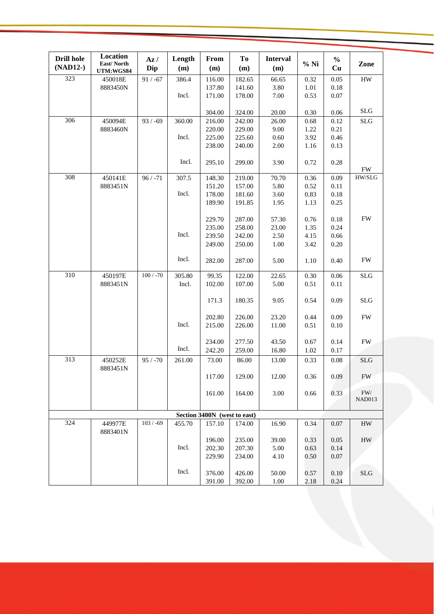| <b>Drill hole</b><br>(NAD12-) | Location<br>East/North | Az/<br>Dip  | Length<br>(m) | From<br>(m)      | To<br>(m)        | <b>Interval</b><br>(m) | $%$ Ni       | $\frac{0}{0}$<br>Cu | Zone                |
|-------------------------------|------------------------|-------------|---------------|------------------|------------------|------------------------|--------------|---------------------|---------------------|
| 323                           | UTM:WGS84<br>450018E   | $91 / -67$  | 386.4         | 116.00           | 182.65           | 66.65                  | 0.32         | 0.05                | ${\rm HW}$          |
|                               | 8883450N               |             |               | 137.80           | 141.60           | 3.80                   | 1.01         | 0.18                |                     |
|                               |                        |             | Incl.         | 171.00           | 178.00           | $7.00\,$               | 0.53         | 0.07                |                     |
|                               |                        |             |               |                  |                  |                        |              |                     |                     |
|                               |                        |             |               | 304.00           | 324.00           | 20.00                  | 0.30         | 0.06                | <b>SLG</b>          |
| 306                           | 450094E                | $93 / -69$  | 360.00        | 216.00           | 242.00           | 26.00                  | 0.68         | 0.12                | <b>SLG</b>          |
|                               | 8883460N               |             |               | 220.00           | 229.00           | 9.00                   | 1.22         | 0.21                |                     |
|                               |                        |             | Incl.         | 225.00           | 225.60           | 0.60                   | 3.92         | 0.46                |                     |
|                               |                        |             |               | 238.00           | 240.00           | 2.00                   | 1.16         | 0.13                |                     |
|                               |                        |             |               |                  |                  |                        |              |                     |                     |
|                               |                        |             | Incl.         | 295.10           | 299.00           | 3.90                   | 0.72         | 0.28                |                     |
| 308                           |                        |             |               |                  |                  |                        |              |                     | <b>FW</b><br>HW/SLG |
|                               | 450141E                | $96 / -71$  | 307.5         | 148.30           | 219.00           | 70.70<br>5.80          | 0.36<br>0.52 | 0.09                |                     |
|                               | 8883451N               |             | Incl.         | 151.20<br>178.00 | 157.00<br>181.60 | 3.60                   | 0.83         | 0.11<br>0.18        |                     |
|                               |                        |             |               | 189.90           | 191.85           | 1.95                   | 1.13         | 0.25                |                     |
|                               |                        |             |               |                  |                  |                        |              |                     |                     |
|                               |                        |             |               | 229.70           | 287.00           | 57.30                  | 0.76         | 0.18                | <b>FW</b>           |
|                               |                        |             |               | 235.00           | 258.00           | 23.00                  | 1.35         | 0.24                |                     |
|                               |                        |             | Incl.         | 239.50           | 242.00           | 2.50                   | 4.15         | 0.66                |                     |
|                               |                        |             |               | 249.00           | 250.00           | $1.00\,$               | 3.42         | 0.20                |                     |
|                               |                        |             |               |                  |                  |                        |              |                     |                     |
|                               |                        |             | Incl.         | 282.00           | 287.00           | 5.00                   | 1.10         | 0.40                | <b>FW</b>           |
|                               |                        |             |               |                  |                  |                        |              |                     |                     |
| 310                           | 450197E                | $100 / -70$ | 305.80        | 99.35            | 122.00           | 22.65                  | 0.30         | 0.06                | <b>SLG</b>          |
|                               | 8883451N               |             | Incl.         | 102.00           | 107.00           | 5.00                   | 0.51         | 0.11                |                     |
|                               |                        |             |               | 171.3            | 180.35           | 9.05                   | 0.54         | 0.09                | SLG                 |
|                               |                        |             |               |                  |                  |                        |              |                     |                     |
|                               |                        |             | Incl.         | 202.80<br>215.00 | 226.00<br>226.00 | 23.20<br>11.00         | 0.44<br>0.51 | 0.09<br>0.10        | <b>FW</b>           |
|                               |                        |             |               |                  |                  |                        |              |                     |                     |
|                               |                        |             |               | 234.00           | 277.50           | 43.50                  | 0.67         | 0.14                | FW                  |
|                               |                        |             | Incl.         | 242.20           | 259.00           | 16.80                  | 1.02         | 0.17                |                     |
| 313                           | 450252E                | $95 / -70$  | 261.00        | 73.00            | 86.00            | 13.00                  | 0.33         | 0.08                | SLG                 |
|                               | 8883451N               |             |               |                  |                  |                        |              |                     |                     |
|                               |                        |             |               | 117.00           | 129.00           | 12.00                  | 0.36         | 0.09                | <b>FW</b>           |
|                               |                        |             |               | 161.00           | 164.00           | 3.00                   | 0.66         | 0.33                | $\rm FW/$           |
|                               |                        |             |               |                  |                  |                        |              |                     | NAD013              |
| Section 3400N (west to east)  |                        |             |               |                  |                  |                        |              |                     |                     |
| 324                           | 449977E                | $103 / -69$ | 455.70        | 157.10           | 174.00           | 16.90                  | 0.34         | 0.07                | <b>HW</b>           |
|                               | 8883401N               |             |               | 196.00           | 235.00           | 39.00                  | 0.33         | 0.05                | HW                  |
|                               |                        |             | Incl.         | 202.30           | 207.30           | 5.00                   | 0.63         | 0.14                |                     |
|                               |                        |             |               | 229.90           | 234.00           | 4.10                   | 0.50         | $0.07\,$            |                     |
|                               |                        |             |               |                  |                  |                        |              |                     |                     |
|                               |                        |             | Incl.         | 376.00           | 426.00           | 50.00                  | 0.57         | $0.10\,$            | SLG                 |
|                               |                        |             |               | 391.00           | 392.00           | 1.00                   | 2.18         | 0.24                |                     |